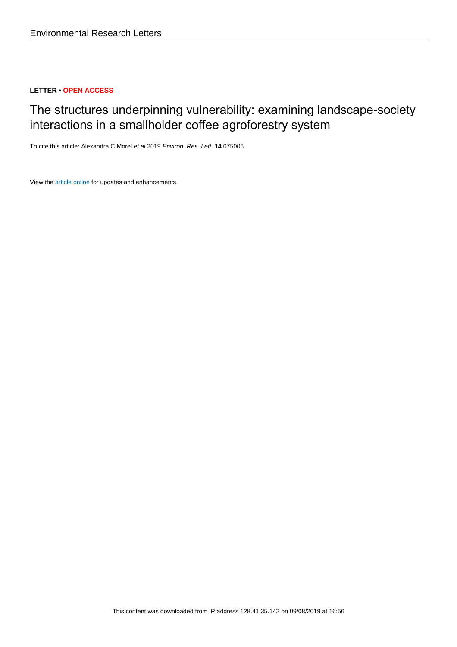# **LETTER • OPEN ACCESS**

# The structures underpinning vulnerability: examining landscape-society interactions in a smallholder coffee agroforestry system

To cite this article: Alexandra C Morel et al 2019 Environ. Res. Lett. **14** 075006

View the [article online](https://doi.org/10.1088/1748-9326/ab2280) for updates and enhancements.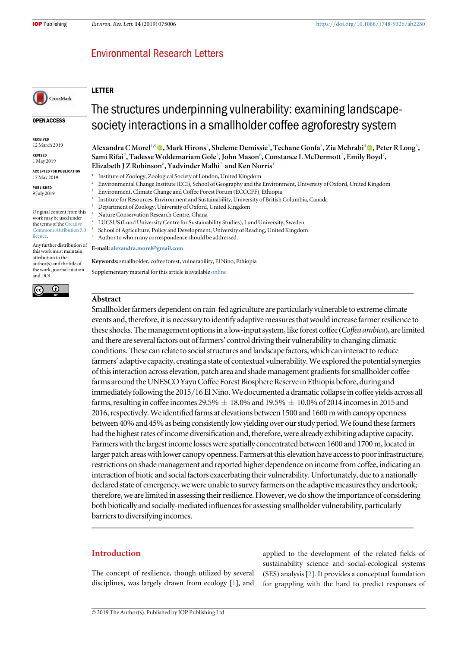# **Environmental Research Letters**

## LETTER

CrossMark

OPEN ACCESS

RECEIVED 12 March 2019

REVISED 1 May 2019

ACCEPTED FOR PUBLICATION 17 May 2019

PUBLISHED 9 July 2019

Original content from this work may be used under the terms of the [Creative](http://creativecommons.org/licenses/by/3.0) [Commons Attribution 3.0](http://creativecommons.org/licenses/by/3.0) [licence.](http://creativecommons.org/licenses/by/3.0)

Any further distribution of this work must maintain attribution to the author(s) and the title of the work, journal citation and DOI.



# The structures underpinning vulnerability: examining landscapesociety interactions in a smallholder coffee agroforestry system

Alexandra C Morel<sup>1[,](https://orcid.org/0000-0001-9574-0420)9</sup> (®, Mark Hirons<sup>2</sup>, Sheleme Demissie<sup>3</sup>, Techane Gonfa<sup>3</sup>, Zia Mehrabi<sup>4</sup> ®, Peter R Long<sup>5</sup>, Sami Rifai<sup>2</sup>, Tadesse Woldemariam Gole<sup>3</sup>, John Mason<sup>6</sup>, Constance L McDermott<sup>2</sup>, Emily Boyd<sup>7</sup>, Elizabeth J Z Robinson<sup>8</sup>, Yadvinder Malhi<sup>2</sup> and Ken Norris<sup>1</sup>

- <sup>1</sup> Institute of Zoology, Zoological Society of London, United Kingdom
- <sup>2</sup> Environmental Change Institute (ECI), School of Geography and the Environment, University of Oxford, United Kingdom
- <sup>3</sup> Environment, Climate Change and Coffee Forest Forum (ECCCFF), Ethiopia
- <sup>4</sup> Institute for Resources, Environment and Sustainability, University of British Columbia, Canada
- <sup>5</sup> Department of Zoology, University of Oxford, United Kingdom
- Nature Conservation Research Centre, Ghana
- <sup>7</sup> LUCSUS (Lund University Centre for Sustainability Studies), Lund University, Sweden
- <sup>8</sup> School of Agriculture, Policy and Development, University of Reading, United Kingdom
- Author to whom any correspondence should be addressed.

E-mail: [alexandra.morel@gmail.com](mailto:alexandra.morel@gmail.com)

Keywords: smallholder, coffee forest, vulnerability, El Nino, Ethiopia

Supplementary material for this article is available [online](https://doi.org/10.1088/1748-9326/ab2280)

# Abstract

Smallholder farmers dependent on rain-fed agriculture are particularly vulnerable to extreme climate events and, therefore, it is necessary to identify adaptive measures that would increase farmer resilience to these shocks. The management options in a low-input system, like forest coffee (Coffea arabica), are limited and there are several factors out of farmers' control driving their vulnerability to changing climatic conditions. These can relate to social structures and landscape factors, which can interact to reduce farmers' adaptive capacity, creating a state of contextual vulnerability.We explored the potential synergies of this interaction across elevation, patch area and shade management gradients for smallholder coffee farms around the UNESCO Yayu Coffee Forest Biosphere Reserve in Ethiopia before, during and immediately following the 2015/16 El Niño. We documented a dramatic collapse in coffee yields across all farms, resulting in coffee incomes 29.5%  $\pm$  18.0% and 19.5%  $\pm$  10.0% of 2014 incomes in 2015 and 2016, respectively.We identifiedfarms at elevations between 1500 and 1600 m with canopy openness between 40% and 45% as being consistently low yielding over our study period. We found these farmers had the highest rates of income diversification and, therefore, were already exhibiting adaptive capacity. Farmers with the largest income losses were spatially concentrated between 1600 and 1700 m, located in larger patch areas with lower canopy openness. Farmers at this elevation have access to poor infrastructure, restrictions on shade management and reported higher dependence on incomefrom coffee, indicating an interaction of biotic and social factors exacerbating their vulnerability. Unfortunately, due to a nationally declared state of emergency, we were unable to survey farmers on the adaptive measures they undertook; therefore, we are limited in assessing their resilience. However, we do show the importance of considering both biotically and socially-mediated influences for assessing smallholder vulnerability, particularly barriers to diversifying incomes.

# Introduction

The concept of resilience, though utilized by several disciplines, was largely drawn from ecology [[1](#page-8-0)], and applied to the development of the related fields of sustainability science and social-ecological systems (SES) analysis [[2](#page-8-0)]. It provides a conceptual foundation for grappling with the hard to predict responses of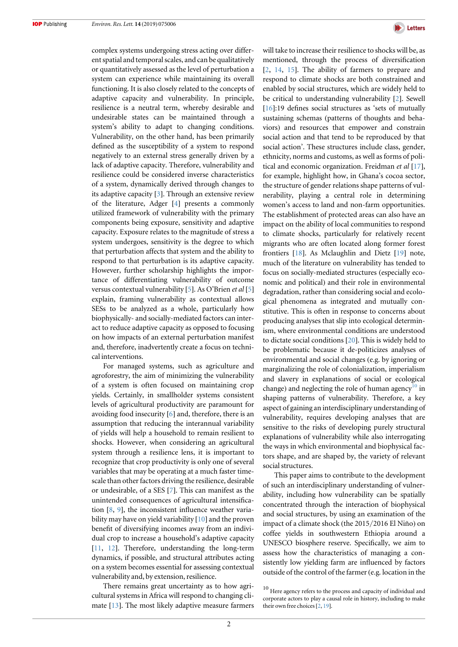complex systems undergoing stress acting over different spatial and temporal scales, and can be qualitatively or quantitatively assessed as the level of perturbation a system can experience while maintaining its overall functioning. It is also closely related to the concepts of adaptive capacity and vulnerability. In principle, resilience is a neutral term, whereby desirable and undesirable states can be maintained through a system's ability to adapt to changing conditions. Vulnerability, on the other hand, has been primarily defined as the susceptibility of a system to respond negatively to an external stress generally driven by a lack of adaptive capacity. Therefore, vulnerability and resilience could be considered inverse characteristics of a system, dynamically derived through changes to its adaptive capacity [[3](#page-8-0)]. Through an extensive review of the literature, Adger [[4](#page-8-0)] presents a commonly utilized framework of vulnerability with the primary components being exposure, sensitivity and adaptive capacity. Exposure relates to the magnitude of stress a system undergoes, sensitivity is the degree to which that perturbation affects that system and the ability to respond to that perturbation is its adaptive capacity. However, further scholarship highlights the importance of differentiating vulnerability of outcome versus contextual vulnerability [[5](#page-8-0)]. As O'Brien et al [5] explain, framing vulnerability as contextual allows SESs to be analyzed as a whole, particularly how biophysically- and socially-mediated factors can interact to reduce adaptive capacity as opposed to focusing on how impacts of an external perturbation manifest and, therefore, inadvertently create a focus on technical interventions.

For managed systems, such as agriculture and agroforestry, the aim of minimizing the vulnerability of a system is often focused on maintaining crop yields. Certainly, in smallholder systems consistent levels of agricultural productivity are paramount for avoiding food insecurity [[6](#page-9-0)] and, therefore, there is an assumption that reducing the interannual variability of yields will help a household to remain resilient to shocks. However, when considering an agricultural system through a resilience lens, it is important to recognize that crop productivity is only one of several variables that may be operating at a much faster timescale than other factors driving the resilience, desirable or undesirable, of a SES [[7](#page-9-0)]. This can manifest as the unintended consequences of agricultural intensification [[8,](#page-9-0) [9](#page-9-0)], the inconsistent influence weather variability may have on yield variability  $[10]$  $[10]$  $[10]$  and the proven benefit of diversifying incomes away from an individual crop to increase a household's adaptive capacity [[11,](#page-9-0) [12](#page-9-0)]. Therefore, understanding the long-term dynamics, if possible, and structural attributes acting on a system becomes essential for assessing contextual vulnerability and, by extension, resilience.

There remains great uncertainty as to how agricultural systems in Africa will respond to changing climate [[13](#page-9-0)]. The most likely adaptive measure farmers



will take to increase their resilience to shocks will be, as mentioned, through the process of diversification [[2,](#page-8-0) [14](#page-9-0), [15](#page-9-0)]. The ability of farmers to prepare and respond to climate shocks are both constrained and enabled by social structures, which are widely held to be critical to understanding vulnerability [[2](#page-8-0)]. Sewell [[16](#page-9-0)]:19 defines social structures as 'sets of mutually sustaining schemas (patterns of thoughts and behaviors) and resources that empower and constrain social action and that tend to be reproduced by that social action'. These structures include class, gender, ethnicity, norms and customs, as well as forms of political and economic organization. Freidman et al [[17](#page-9-0)], for example, highlight how, in Ghana's cocoa sector, the structure of gender relations shape patterns of vulnerability, playing a central role in determining women's access to land and non-farm opportunities. The establishment of protected areas can also have an impact on the ability of local communities to respond to climate shocks, particularly for relatively recent migrants who are often located along former forest frontiers [[18](#page-9-0)]. As Mclaughlin and Dietz [[19](#page-9-0)] note, much of the literature on vulnerability has tended to focus on socially-mediated structures (especially economic and political) and their role in environmental degradation, rather than considering social and ecological phenomena as integrated and mutually constitutive. This is often in response to concerns about producing analyses that slip into ecological determinism, where environmental conditions are understood to dictate social conditions [[20](#page-9-0)]. This is widely held to be problematic because it de-politicizes analyses of environmental and social changes (e.g. by ignoring or marginalizing the role of colonialization, imperialism and slavery in explanations of social or ecological change) and neglecting the role of human agency<sup>10</sup> in shaping patterns of vulnerability. Therefore, a key aspect of gaining an interdisciplinary understanding of vulnerability, requires developing analyses that are sensitive to the risks of developing purely structural explanations of vulnerability while also interrogating the ways in which environmental and biophysical factors shape, and are shaped by, the variety of relevant social structures.

This paper aims to contribute to the development of such an interdisciplinary understanding of vulnerability, including how vulnerability can be spatially concentrated through the interaction of biophysical and social structures, by using an examination of the impact of a climate shock (the 2015/2016 El Niño) on coffee yields in southwestern Ethiopia around a UNESCO biosphere reserve. Specifically, we aim to assess how the characteristics of managing a consistently low yielding farm are influenced by factors outside of the control of the farmer(e.g. location in the

<sup>10</sup> Here agency refers to the process and capacity of individual and corporate actors to play a causal role in history, including to make their own free choices[[2,](#page-8-0) [19](#page-9-0)].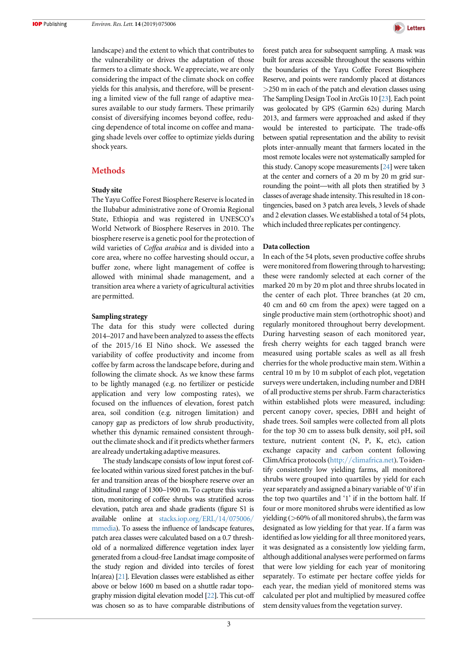landscape) and the extent to which that contributes to the vulnerability or drives the adaptation of those farmers to a climate shock. We appreciate, we are only considering the impact of the climate shock on coffee yields for this analysis, and therefore, will be presenting a limited view of the full range of adaptive measures available to our study farmers. These primarily consist of diversifying incomes beyond coffee, reducing dependence of total income on coffee and managing shade levels over coffee to optimize yields during shock years.

#### **Methods**

#### Study site

The Yayu Coffee Forest Biosphere Reserve is located in the Ilubabur administrative zone of Oromia Regional State, Ethiopia and was registered in UNESCO's World Network of Biosphere Reserves in 2010. The biosphere reserve is a genetic pool for the protection of wild varieties of Coffea arabica and is divided into a core area, where no coffee harvesting should occur, a buffer zone, where light management of coffee is allowed with minimal shade management, and a transition area where a variety of agricultural activities are permitted.

#### Sampling strategy

The data for this study were collected during 2014–2017 and have been analyzed to assess the effects of the 2015/16 El Niño shock. We assessed the variability of coffee productivity and income from coffee by farm across the landscape before, during and following the climate shock. As we know these farms to be lightly managed (e.g. no fertilizer or pesticide application and very low composting rates), we focused on the influences of elevation, forest patch area, soil condition (e.g. nitrogen limitation) and canopy gap as predictors of low shrub productivity, whether this dynamic remained consistent throughout the climate shock and if it predicts whether farmers are already undertaking adaptive measures.

The study landscape consists of low input forest coffee located within various sized forest patches in the buffer and transition areas of the biosphere reserve over an altitudinal range of 1300–1900 m. To capture this variation, monitoring of coffee shrubs was stratified across elevation, patch area and shade gradients (figure S1 is available online at [stacks.iop.org](http://stacks.iop.org/ERL/14/075006/mmedia)/ERL/14/075006/ [mmedia](http://stacks.iop.org/ERL/14/075006/mmedia)). To assess the influence of landscape features, patch area classes were calculated based on a 0.7 threshold of a normalized difference vegetation index layer generated from a cloud-free Landsat image composite of the study region and divided into terciles of forest ln(area) [[21](#page-9-0)]. Elevation classes were established as either above or below 1600 m based on a shuttle radar topography mission digital elevation model [[22](#page-9-0)]. This cut-off was chosen so as to have comparable distributions of



forest patch area for subsequent sampling. A mask was built for areas accessible throughout the seasons within the boundaries of the Yayu Coffee Forest Biosphere Reserve, and points were randomly placed at distances >250 m in each of the patch and elevation classes using The Sampling Design Tool in ArcGis 10 [[23](#page-9-0)]. Each point was geolocated by GPS (Garmin 62s) during March 2013, and farmers were approached and asked if they would be interested to participate. The trade-offs between spatial representation and the ability to revisit plots inter-annually meant that farmers located in the most remote locales were not systematically sampled for this study. Canopy scope measurements [[24](#page-9-0)] were taken at the center and corners of a 20 m by 20 m grid surrounding the point—with all plots then stratified by 3 classes of average shade intensity. This resulted in 18 contingencies, based on 3 patch area levels, 3 levels of shade and 2 elevation classes. We established a total of 54 plots, which included three replicates per contingency.

#### Data collection

In each of the 54 plots, seven productive coffee shrubs were monitored from flowering through to harvesting; these were randomly selected at each corner of the marked 20 m by 20 m plot and three shrubs located in the center of each plot. Three branches (at 20 cm, 40 cm and 60 cm from the apex) were tagged on a single productive main stem (orthotrophic shoot) and regularly monitored throughout berry development. During harvesting season of each monitored year, fresh cherry weights for each tagged branch were measured using portable scales as well as all fresh cherries for the whole productive main stem. Within a central 10 m by 10 m subplot of each plot, vegetation surveys were undertaken, including number and DBH of all productive stems per shrub. Farm characteristics within established plots were measured, including: percent canopy cover, species, DBH and height of shade trees. Soil samples were collected from all plots for the top 30 cm to assess bulk density, soil pH, soil texture, nutrient content (N, P, K, etc), cation exchange capacity and carbon content following ClimAfrica protocols(http://[climafrica.net](http://www.climafrica.net)). To identify consistently low yielding farms, all monitored shrubs were grouped into quartiles by yield for each year separately and assigned a binary variable of '0' if in the top two quartiles and '1' if in the bottom half. If four or more monitored shrubs were identified as low yielding (>60% of all monitored shrubs), the farm was designated as low yielding for that year. If a farm was identified as low yielding for all three monitored years, it was designated as a consistently low yielding farm, although additional analyses were performed on farms that were low yielding for each year of monitoring separately. To estimate per hectare coffee yields for each year, the median yield of monitored stems was calculated per plot and multiplied by measured coffee stem density values from the vegetation survey.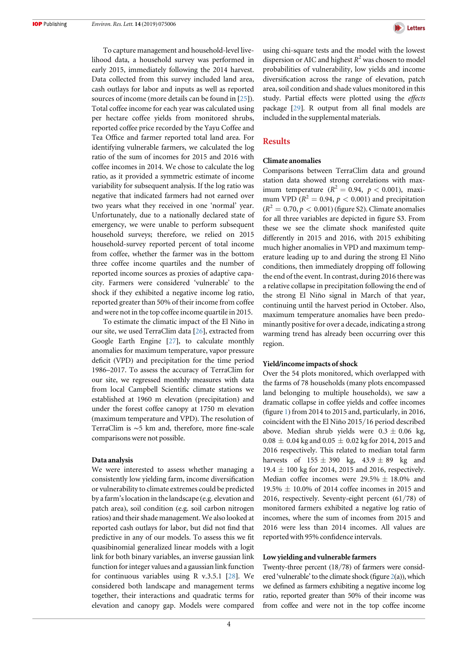To capture management and household-level livelihood data, a household survey was performed in early 2015, immediately following the 2014 harvest. Data collected from this survey included land area, cash outlays for labor and inputs as well as reported sources of income (more details can be found in [[25](#page-9-0)]). Total coffee income for each year was calculated using per hectare coffee yields from monitored shrubs, reported coffee price recorded by the Yayu Coffee and Tea Office and farmer reported total land area. For identifying vulnerable farmers, we calculated the log ratio of the sum of incomes for 2015 and 2016 with coffee incomes in 2014. We chose to calculate the log ratio, as it provided a symmetric estimate of income variability for subsequent analysis. If the log ratio was negative that indicated farmers had not earned over two years what they received in one 'normal' year. Unfortunately, due to a nationally declared state of emergency, we were unable to perform subsequent household surveys; therefore, we relied on 2015 household-survey reported percent of total income from coffee, whether the farmer was in the bottom three coffee income quartiles and the number of reported income sources as proxies of adaptive capacity. Farmers were considered 'vulnerable' to the shock if they exhibited a negative income log ratio, reported greater than 50% of their income from coffee and were not in the top coffee income quartile in 2015.

To estimate the climatic impact of the El Niño in our site, we used TerraClim data [[26](#page-9-0)], extracted from Google Earth Engine [[27](#page-9-0)], to calculate monthly anomalies for maximum temperature, vapor pressure deficit (VPD) and precipitation for the time period 1986–2017. To assess the accuracy of TerraClim for our site, we regressed monthly measures with data from local Campbell Scientific climate stations we established at 1960 m elevation (precipitation) and under the forest coffee canopy at 1750 m elevation (maximum temperature and VPD). The resolution of TerraClim is ∼5 km and, therefore, more fine-scale comparisons were not possible.

#### Data analysis

We were interested to assess whether managing a consistently low yielding farm, income diversification or vulnerability to climate extremes could be predicted by a farm's location in the landscape (e.g. elevation and patch area), soil condition (e.g. soil carbon nitrogen ratios) and their shade management. We also looked at reported cash outlays for labor, but did not find that predictive in any of our models. To assess this we fit quasibinomial generalized linear models with a logit link for both binary variables, an inverse gaussian link function for integer values and a gaussian link function for continuous variables using R v.3.5.1 [[28](#page-9-0)]. We considered both landscape and management terms together, their interactions and quadratic terms for elevation and canopy gap. Models were compared



using chi-square tests and the model with the lowest dispersion or AIC and highest  $R^2$  was chosen to model probabilities of vulnerability, low yields and income diversification across the range of elevation, patch area, soil condition and shade values monitored in this study. Partial effects were plotted using the effects package [[29](#page-9-0)]. R output from all final models are included in the supplemental materials.

#### Results

#### Climate anomalies

Comparisons between TerraClim data and ground station data showed strong correlations with maximum temperature ( $R^2 = 0.94$ ,  $p < 0.001$ ), maximum VPD ( $R^2 = 0.94$ ,  $p < 0.001$ ) and precipitation  $(R^2 = 0.70, p < 0.001)$  (figure S2). Climate anomalies for all three variables are depicted in figure S3. From these we see the climate shock manifested quite differently in 2015 and 2016, with 2015 exhibiting much higher anomalies in VPD and maximum temperature leading up to and during the strong El Niño conditions, then immediately dropping off following the end of the event. In contrast, during 2016 there was a relative collapse in precipitation following the end of the strong El Niño signal in March of that year, continuing until the harvest period in October. Also, maximum temperature anomalies have been predominantly positive for over a decade, indicating a strong warming trend has already been occurring over this region.

#### Yield/income impacts of shock

Over the 54 plots monitored, which overlapped with the farms of 78 households (many plots encompassed land belonging to multiple households), we saw a dramatic collapse in coffee yields and coffee incomes (figure [1](#page-5-0)) from 2014 to 2015 and, particularly, in 2016, coincident with the El Niño 2015/16 period described above. Median shrub yields were  $0.3 \pm 0.06$  kg,  $0.08 \pm 0.04$  kg and  $0.05 \pm 0.02$  kg for 2014, 2015 and 2016 respectively. This related to median total farm harvests of  $155 \pm 390$  kg,  $43.9 \pm 89$  kg and 19.4  $\pm$  100 kg for 2014, 2015 and 2016, respectively. Median coffee incomes were  $29.5\% \pm 18.0\%$  and 19.5%  $\pm$  10.0% of 2014 coffee incomes in 2015 and 2016, respectively. Seventy-eight percent (61/78) of monitored farmers exhibited a negative log ratio of incomes, where the sum of incomes from 2015 and 2016 were less than 2014 incomes. All values are reported with 95% confidence intervals.

#### Low yielding and vulnerable farmers

Twenty-three percent (18/78) of farmers were considered 'vulnerable' to the climate shock (figure [2](#page-5-0)(a)), which we defined as farmers exhibiting a negative income log ratio, reported greater than 50% of their income was from coffee and were not in the top coffee income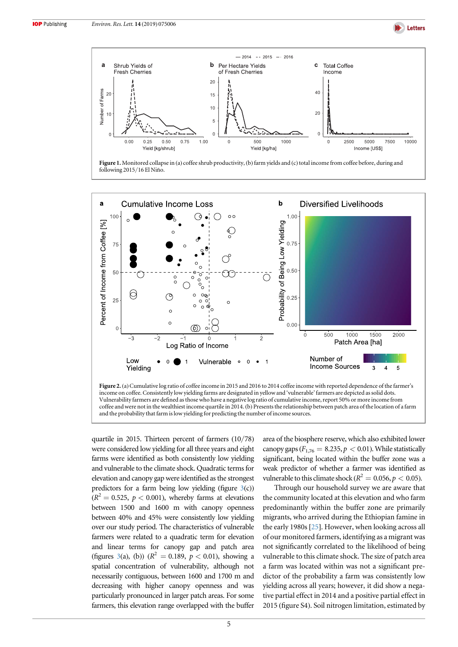**D** Letters

<span id="page-5-0"></span>





quartile in 2015. Thirteen percent of farmers (10/78) were considered low yielding for all three years and eight farms were identified as both consistently low yielding and vulnerable to the climate shock. Quadratic terms for elevation and canopy gap were identified as the strongest predictors for a farm being low yielding (figure  $3(c)$  $3(c)$ )  $(R^2 = 0.525, p < 0.001)$ , whereby farms at elevations between 1500 and 1600 m with canopy openness between 40% and 45% were consistently low yielding over our study period. The characteristics of vulnerable farmers were related to a quadratic term for elevation and linear terms for canopy gap and patch area (figures [3](#page-6-0)(a), (b)) ( $R^2 = 0.189$ ,  $p < 0.01$ ), showing a spatial concentration of vulnerability, although not necessarily contiguous, between 1600 and 1700 m and decreasing with higher canopy openness and was particularly pronounced in larger patch areas. For some farmers, this elevation range overlapped with the buffer area of the biosphere reserve, which also exhibited lower canopy gaps ( $F_{1,76} = 8.235$ ,  $p < 0.01$ ). While statistically significant, being located within the buffer zone was a weak predictor of whether a farmer was identified as vulnerable to this climate shock ( $R^2 = 0.056, p < 0.05$ ).

Through our household survey we are aware that the community located at this elevation and who farm predominantly within the buffer zone are primarily migrants, who arrived during the Ethiopian famine in the early 1980s [[25](#page-9-0)]. However, when looking across all of our monitored farmers, identifying as a migrant was not significantly correlated to the likelihood of being vulnerable to this climate shock. The size of patch area a farm was located within was not a significant predictor of the probability a farm was consistently low yielding across all years; however, it did show a negative partial effect in 2014 and a positive partial effect in 2015 (figure S4). Soil nitrogen limitation, estimated by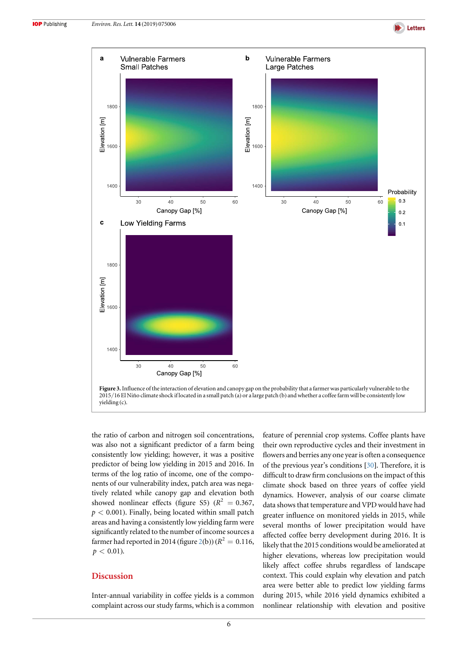<span id="page-6-0"></span>

the ratio of carbon and nitrogen soil concentrations, was also not a significant predictor of a farm being consistently low yielding; however, it was a positive predictor of being low yielding in 2015 and 2016. In terms of the log ratio of income, one of the components of our vulnerability index, patch area was negatively related while canopy gap and elevation both showed nonlinear effects (figure S5) ( $R^2 = 0.367$ ,  $p < 0.001$ ). Finally, being located within small patch areas and having a consistently low yielding farm were significantly related to the number of income sources a farmer had reported in [2](#page-5-0)014 (figure 2(b)) ( $R^2 = 0.116$ ,  $p < 0.01$ ).

# **Discussion**

Inter-annual variability in coffee yields is a common complaint across our study farms, which is a common feature of perennial crop systems. Coffee plants have their own reproductive cycles and their investment in flowers and berries any one year is often a consequence of the previous year's conditions [[30](#page-9-0)]. Therefore, it is difficult to draw firm conclusions on the impact of this climate shock based on three years of coffee yield dynamics. However, analysis of our coarse climate data shows that temperature and VPD would have had greater influence on monitored yields in 2015, while several months of lower precipitation would have affected coffee berry development during 2016. It is likely that the 2015 conditions would be ameliorated at higher elevations, whereas low precipitation would likely affect coffee shrubs regardless of landscape context. This could explain why elevation and patch area were better able to predict low yielding farms during 2015, while 2016 yield dynamics exhibited a nonlinear relationship with elevation and positive

**D** Letters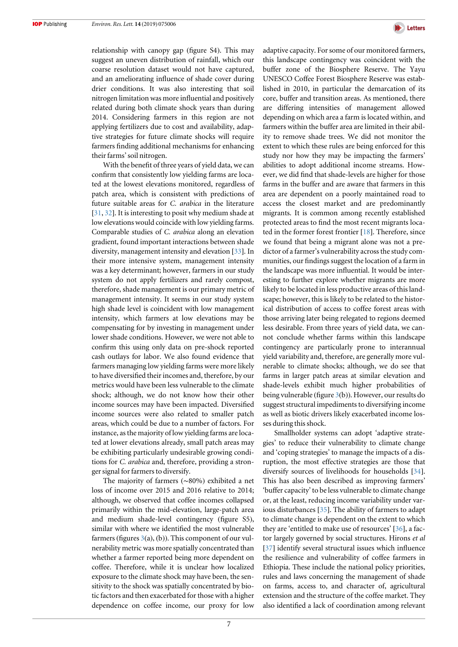relationship with canopy gap (figure S4). This may suggest an uneven distribution of rainfall, which our coarse resolution dataset would not have captured, and an ameliorating influence of shade cover during drier conditions. It was also interesting that soil nitrogen limitation was more influential and positively related during both climate shock years than during 2014. Considering farmers in this region are not applying fertilizers due to cost and availability, adaptive strategies for future climate shocks will require farmers finding additional mechanisms for enhancing their farms'soil nitrogen.

With the benefit of three years of yield data, we can confirm that consistently low yielding farms are located at the lowest elevations monitored, regardless of patch area, which is consistent with predictions of future suitable areas for C. arabica in the literature [[31,](#page-9-0) [32](#page-9-0)]. It is interesting to posit why medium shade at low elevations would coincide with low yielding farms. Comparable studies of C. arabica along an elevation gradient, found important interactions between shade diversity, management intensity and elevation [[33](#page-9-0)]. In their more intensive system, management intensity was a key determinant; however, farmers in our study system do not apply fertilizers and rarely compost, therefore, shade management is our primary metric of management intensity. It seems in our study system high shade level is coincident with low management intensity, which farmers at low elevations may be compensating for by investing in management under lower shade conditions. However, we were not able to confirm this using only data on pre-shock reported cash outlays for labor. We also found evidence that farmers managing low yielding farms were more likely to have diversified their incomes and, therefore, by our metrics would have been less vulnerable to the climate shock; although, we do not know how their other income sources may have been impacted. Diversified income sources were also related to smaller patch areas, which could be due to a number of factors. For instance, as the majority of low yielding farms are located at lower elevations already, small patch areas may be exhibiting particularly undesirable growing conditions for C. arabica and, therefore, providing a stronger signal for farmers to diversify.

The majority of farmers (∼80%) exhibited a net loss of income over 2015 and 2016 relative to 2014; although, we observed that coffee incomes collapsed primarily within the mid-elevation, large-patch area and medium shade-level contingency (figure S5), similar with where we identified the most vulnerable farmers (figures  $3(a)$  $3(a)$ , (b)). This component of our vulnerability metric was more spatially concentrated than whether a farmer reported being more dependent on coffee. Therefore, while it is unclear how localized exposure to the climate shock may have been, the sensitivity to the shock was spatially concentrated by biotic factors and then exacerbated for those with a higher dependence on coffee income, our proxy for low



adaptive capacity. For some of our monitored farmers, this landscape contingency was coincident with the buffer zone of the Biosphere Reserve. The Yayu UNESCO Coffee Forest Biosphere Reserve was established in 2010, in particular the demarcation of its core, buffer and transition areas. As mentioned, there are differing intensities of management allowed depending on which area a farm is located within, and farmers within the buffer area are limited in their ability to remove shade trees. We did not monitor the extent to which these rules are being enforced for this study nor how they may be impacting the farmers' abilities to adopt additional income streams. However, we did find that shade-levels are higher for those farms in the buffer and are aware that farmers in this area are dependent on a poorly maintained road to access the closest market and are predominantly migrants. It is common among recently established protected areas to find the most recent migrants located in the former forest frontier [[18](#page-9-0)]. Therefore, since we found that being a migrant alone was not a predictor of a farmer's vulnerability across the study communities, our findings suggest the location of a farm in the landscape was more influential. It would be interesting to further explore whether migrants are more likely to be located in less productive areas of this landscape; however, this is likely to be related to the historical distribution of access to coffee forest areas with those arriving later being relegated to regions deemed less desirable. From three years of yield data, we cannot conclude whether farms within this landscape contingency are particularly prone to interannual yield variability and, therefore, are generally more vulnerable to climate shocks; although, we do see that farms in larger patch areas at similar elevation and shade-levels exhibit much higher probabilities of being vulnerable (figure [3](#page-6-0)(b)). However, our results do suggest structural impediments to diversifying income as well as biotic drivers likely exacerbated income losses during this shock.

Smallholder systems can adopt 'adaptive strategies' to reduce their vulnerability to climate change and 'coping strategies' to manage the impacts of a disruption, the most effective strategies are those that diversify sources of livelihoods for households [[34](#page-9-0)]. This has also been described as improving farmers' 'buffer capacity' to be less vulnerable to climate change or, at the least, reducing income variability under various disturbances [[35](#page-9-0)]. The ability of farmers to adapt to climate change is dependent on the extent to which they are 'entitled to make use of resources' [[36](#page-9-0)], a factor largely governed by social structures. Hirons et al [[37](#page-9-0)] identify several structural issues which influence the resilience and vulnerability of coffee farmers in Ethiopia. These include the national policy priorities, rules and laws concerning the management of shade on farms, access to, and character of, agricultural extension and the structure of the coffee market. They also identified a lack of coordination among relevant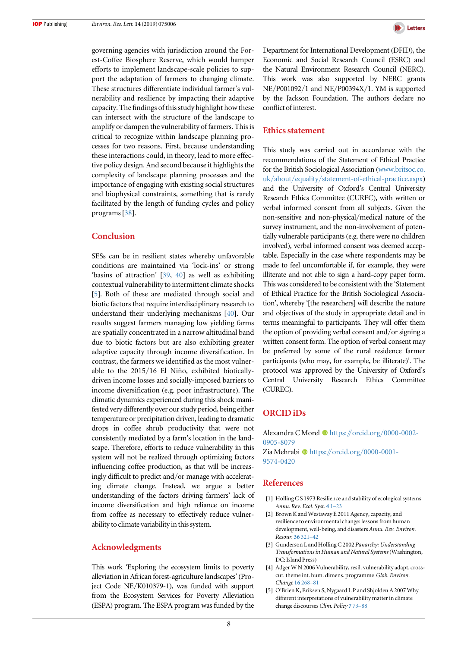<span id="page-8-0"></span>governing agencies with jurisdiction around the Forest-Coffee Biosphere Reserve, which would hamper efforts to implement landscape-scale policies to support the adaptation of farmers to changing climate. These structures differentiate individual farmer's vulnerability and resilience by impacting their adaptive capacity. The findings of this study highlight how these can intersect with the structure of the landscape to amplify or dampen the vulnerability of farmers. This is critical to recognize within landscape planning processes for two reasons. First, because understanding these interactions could, in theory, lead to more effective policy design. And second because it highlights the complexity of landscape planning processes and the importance of engaging with existing social structures and biophysical constraints, something that is rarely facilitated by the length of funding cycles and policy programs[[38](#page-9-0)].

# Conclusion

SESs can be in resilient states whereby unfavorable conditions are maintained via 'lock-ins' or strong 'basins of attraction' [[39](#page-9-0), [40](#page-9-0)] as well as exhibiting contextual vulnerability to intermittent climate shocks [5]. Both of these are mediated through social and biotic factors that require interdisciplinary research to understand their underlying mechanisms [[40](#page-9-0)]. Our results suggest farmers managing low yielding farms are spatially concentrated in a narrow altitudinal band due to biotic factors but are also exhibiting greater adaptive capacity through income diversification. In contrast, the farmers we identified as the most vulnerable to the 2015/16 El Niño, exhibited bioticallydriven income losses and socially-imposed barriers to income diversification (e.g. poor infrastructure). The climatic dynamics experienced during this shock manifested very differently over our study period, being either temperature or precipitation driven, leading to dramatic drops in coffee shrub productivity that were not consistently mediated by a farm's location in the landscape. Therefore, efforts to reduce vulnerability in this system will not be realized through optimizing factors influencing coffee production, as that will be increasingly difficult to predict and/or manage with accelerating climate change. Instead, we argue a better understanding of the factors driving farmers' lack of income diversification and high reliance on income from coffee as necessary to effectively reduce vulnerability to climate variability in this system.

#### Acknowledgments

This work 'Exploring the ecosystem limits to poverty alleviation in African forest-agriculture landscapes' (Project Code NE/K010379-1), was funded with support from the Ecosystem Services for Poverty Alleviation (ESPA) program. The ESPA program was funded by the



Department for International Development (DFID), the Economic and Social Research Council (ESRC) and the Natural Environment Research Council (NERC). This work was also supported by NERC grants NE/P001092/1 and NE/P00394X/1. YM is supported by the Jackson Foundation. The authors declare no conflict of interest.

### Ethics statement

This study was carried out in accordance with the recommendations of the Statement of Ethical Practice for the British Sociological Association ([www.britsoc.co.](http://www.britsoc.co.uk/about/equality/statement-of-ethical-practice.aspx) uk/about/equality/[statement-of-ethical-practice.aspx](http://www.britsoc.co.uk/about/equality/statement-of-ethical-practice.aspx)) and the University of Oxford's Central University Research Ethics Committee (CUREC), with written or verbal informed consent from all subjects. Given the non-sensitive and non-physical/medical nature of the survey instrument, and the non-involvement of potentially vulnerable participants (e.g. there were no children involved), verbal informed consent was deemed acceptable. Especially in the case where respondents may be made to feel uncomfortable if, for example, they were illiterate and not able to sign a hard-copy paper form. This was considered to be consistent with the 'Statement of Ethical Practice for the British Sociological Association', whereby '[the researchers] will describe the nature and objectives of the study in appropriate detail and in terms meaningful to participants. They will offer them the option of providing verbal consent and/or signing a written consent form. The option of verbal consent may be preferred by some of the rural residence farmer participants (who may, for example, be illiterate)'. The protocol was approved by the University of Oxford's Central University Research Ethics Committee (CUREC).

#### ORCID iDs

Alexandra C Morel  $\bullet$  [https:](https://orcid.org/0000-0002-0905-8079)//orcid.org/[0000-0002-](https://orcid.org/0000-0002-0905-8079) [0905-8079](https://orcid.org/0000-0002-0905-8079)

Zia Mehrabi <sup>t</sup>[https:](https://orcid.org/0000-0001-9574-0420)//orcid.org/[0000-0001-](https://orcid.org/0000-0001-9574-0420) [9574-0420](https://orcid.org/0000-0001-9574-0420)

## References

- [1] Holling C S 1973 Resilience and stability of ecological systems Annu. Rev. Ecol. Syst. [4](https://doi.org/10.1146/annurev.es.04.110173.000245) 1–[23](https://doi.org/10.1146/annurev.es.04.110173.000245)
- [2] Brown K and Westaway E 2011 Agency, capacity, and resilience to environmental change: lessons from human development, well-being, and disasters Annu. Rev. Environ. Resour. 36 [321](https://doi.org/10.1146/annurev-environ-052610-092905)–42
- [3] Gunderson L and Holling C 2002 Panarchy: Understanding Transformations in Human and Natural Systems (Washington, DC: Island Press)
- [4] Adger W N 2006 Vulnerability, resil. vulnerability adapt. crosscut. theme int. hum. dimens. programme Glob. Environ. Change 16 [268](https://doi.org/10.1016/j.gloenvcha.2006.02.006)–81
- [5] O'Brien K, Eriksen S, Nygaard L P and Shjolden A 2007 Why different interpretations of vulnerability matter in climate change discourses Clim. Policy 7 [73](https://doi.org/10.3763/cpol.2007.0706)–88